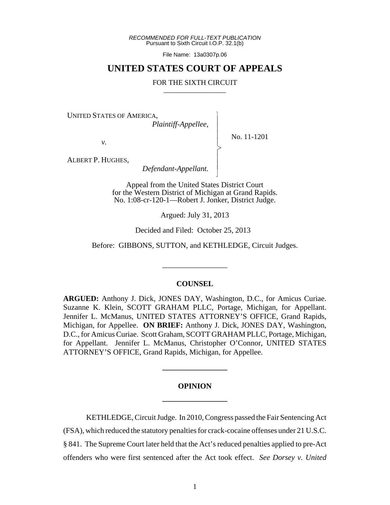*RECOMMENDED FOR FULL-TEXT PUBLICATION* Pursuant to Sixth Circuit I.O.P. 32.1(b)

File Name: 13a0307p.06

## **UNITED STATES COURT OF APPEALS**

## FOR THE SIXTH CIRCUIT

 $\overline{\phantom{a}}$ - - - > , - - N

UNITED STATES OF AMERICA,

*Plaintiff-Appellee*,

No. 11-1201

*v.*

ALBERT P. HUGHES,

 *Defendant-Appellant.*

Appeal from the United States District Court for the Western District of Michigan at Grand Rapids. No. 1:08-cr-120-1—Robert J. Jonker, District Judge.

Argued: July 31, 2013

Decided and Filed: October 25, 2013

Before: GIBBONS, SUTTON, and KETHLEDGE, Circuit Judges.

\_\_\_\_\_\_\_\_\_\_\_\_\_\_\_\_\_

## **COUNSEL**

**ARGUED:** Anthony J. Dick, JONES DAY, Washington, D.C., for Amicus Curiae. Suzanne K. Klein, SCOTT GRAHAM PLLC, Portage, Michigan, for Appellant. Jennifer L. McManus, UNITED STATES ATTORNEY'S OFFICE, Grand Rapids, Michigan, for Appellee. **ON BRIEF:** Anthony J. Dick, JONES DAY, Washington, D.C., for Amicus Curiae. Scott Graham, SCOTT GRAHAM PLLC, Portage, Michigan, for Appellant. Jennifer L. McManus, Christopher O'Connor, UNITED STATES ATTORNEY'S OFFICE, Grand Rapids, Michigan, for Appellee.

## **OPINION \_\_\_\_\_\_\_\_\_\_\_\_\_\_\_\_\_**

**\_\_\_\_\_\_\_\_\_\_\_\_\_\_\_\_\_**

KETHLEDGE, Circuit Judge. In 2010, Congress passed the Fair Sentencing Act (FSA), which reduced the statutory penalties for crack-cocaine offenses under 21 U.S.C. § 841. The Supreme Court later held that the Act's reduced penalties applied to pre-Act offenders who were first sentenced after the Act took effect. *See Dorsey v. United*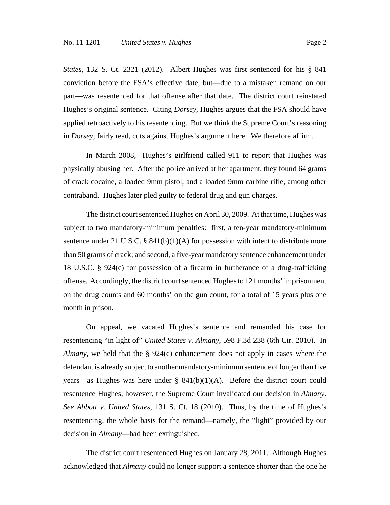*States*, 132 S. Ct. 2321 (2012). Albert Hughes was first sentenced for his § 841 conviction before the FSA's effective date, but—due to a mistaken remand on our part—was resentenced for that offense after that date. The district court reinstated Hughes's original sentence. Citing *Dorsey*, Hughes argues that the FSA should have applied retroactively to his resentencing. But we think the Supreme Court's reasoning in *Dorsey*, fairly read, cuts against Hughes's argument here. We therefore affirm.

In March 2008, Hughes's girlfriend called 911 to report that Hughes was physically abusing her. After the police arrived at her apartment, they found 64 grams of crack cocaine, a loaded 9mm pistol, and a loaded 9mm carbine rifle, among other contraband. Hughes later pled guilty to federal drug and gun charges.

The district court sentenced Hughes on April 30, 2009. At that time, Hughes was subject to two mandatory-minimum penalties: first, a ten-year mandatory-minimum sentence under 21 U.S.C.  $\S$  841(b)(1)(A) for possession with intent to distribute more than 50 grams of crack; and second, a five-year mandatory sentence enhancement under 18 U.S.C. § 924(c) for possession of a firearm in furtherance of a drug-trafficking offense. Accordingly, the district court sentenced Hughes to 121 months' imprisonment on the drug counts and 60 months' on the gun count, for a total of 15 years plus one month in prison.

On appeal, we vacated Hughes's sentence and remanded his case for resentencing "in light of" *United States v. Almany*, 598 F.3d 238 (6th Cir. 2010). In *Almany*, we held that the § 924(c) enhancement does not apply in cases where the defendant is already subject to another mandatory-minimum sentence of longer than five years—as Hughes was here under  $\S$  841(b)(1)(A). Before the district court could resentence Hughes, however, the Supreme Court invalidated our decision in *Almany*. *See Abbott v. United States*, 131 S. Ct. 18 (2010). Thus, by the time of Hughes's resentencing, the whole basis for the remand—namely, the "light" provided by our decision in *Almany*—had been extinguished.

The district court resentenced Hughes on January 28, 2011. Although Hughes acknowledged that *Almany* could no longer support a sentence shorter than the one he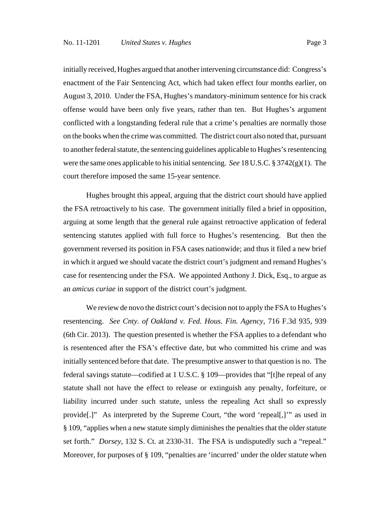initially received, Hughes argued that another intervening circumstance did: Congress's enactment of the Fair Sentencing Act, which had taken effect four months earlier, on August 3, 2010. Under the FSA, Hughes's mandatory-minimum sentence for his crack

offense would have been only five years, rather than ten. But Hughes's argument conflicted with a longstanding federal rule that a crime's penalties are normally those on the books when the crime was committed. The district court also noted that, pursuant to another federal statute, the sentencing guidelines applicable to Hughes's resentencing were the same ones applicable to his initial sentencing. *See* 18 U.S.C. § 3742(g)(1). The court therefore imposed the same 15-year sentence.

Hughes brought this appeal, arguing that the district court should have applied the FSA retroactively to his case. The government initially filed a brief in opposition, arguing at some length that the general rule against retroactive application of federal sentencing statutes applied with full force to Hughes's resentencing. But then the government reversed its position in FSA cases nationwide; and thus it filed a new brief in which it argued we should vacate the district court's judgment and remand Hughes's case for resentencing under the FSA. We appointed Anthony J. Dick, Esq., to argue as an *amicus curiae* in support of the district court's judgment.

We review de novo the district court's decision not to apply the FSA to Hughes's resentencing. *See Cnty. of Oakland v. Fed. Hous. Fin. Agency*, 716 F.3d 935, 939 (6th Cir. 2013). The question presented is whether the FSA applies to a defendant who is resentenced after the FSA's effective date, but who committed his crime and was initially sentenced before that date. The presumptive answer to that question is no. The federal savings statute—codified at 1 U.S.C. § 109—provides that "[t]he repeal of any statute shall not have the effect to release or extinguish any penalty, forfeiture, or liability incurred under such statute, unless the repealing Act shall so expressly provide[.]" As interpreted by the Supreme Court, "the word 'repeal[,]'" as used in § 109, "applies when a new statute simply diminishes the penalties that the older statute set forth." *Dorsey*, 132 S. Ct. at 2330-31. The FSA is undisputedly such a "repeal." Moreover, for purposes of § 109, "penalties are 'incurred' under the older statute when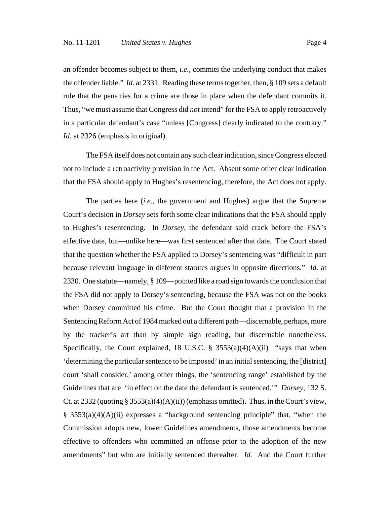an offender becomes subject to them, *i.e.*, commits the underlying conduct that makes the offender liable." *Id*. at 2331. Reading these terms together, then, § 109 sets a default rule that the penalties for a crime are those in place when the defendant commits it. Thus, "we must assume that Congress did *not* intend" for the FSA to apply retroactively in a particular defendant's case "unless [Congress] clearly indicated to the contrary." *Id.* at 2326 (emphasis in original).

The FSA itself does not contain any such clear indication, since Congress elected not to include a retroactivity provision in the Act. Absent some other clear indication that the FSA should apply to Hughes's resentencing, therefore, the Act does not apply.

The parties here (*i.e.*, the government and Hughes) argue that the Supreme Court's decision in *Dorsey* sets forth some clear indications that the FSA should apply to Hughes's resentencing. In *Dorsey*, the defendant sold crack before the FSA's effective date, but—unlike here—was first sentenced after that date. The Court stated that the question whether the FSA applied to Dorsey's sentencing was "difficult in part because relevant language in different statutes argues in opposite directions." *Id.* at 2330. One statute—namely, § 109—pointed like a road sign towards the conclusion that the FSA did not apply to Dorsey's sentencing, because the FSA was not on the books when Dorsey committed his crime. But the Court thought that a provision in the Sentencing Reform Act of 1984 marked out a different path—discernable, perhaps, more by the tracker's art than by simple sign reading, but discernable nonetheless. Specifically, the Court explained, 18 U.S.C.  $\S$  3553(a)(4)(A)(ii) "says that when 'determining the particular sentence to be imposed' in an initial sentencing, the [district] court 'shall consider,' among other things, the 'sentencing range' established by the Guidelines that are 'in effect on the date the defendant is sentenced.'" *Dorsey*, 132 S. Ct. at 2332 (quoting  $\S 3553(a)(4)(A)(ii)$ ) (emphasis omitted). Thus, in the Court's view, § 3553(a)(4)(A)(ii) expresses a "background sentencing principle" that, "when the Commission adopts new, lower Guidelines amendments, those amendments become effective to offenders who committed an offense prior to the adoption of the new amendments" but who are initially sentenced thereafter. *Id.* And the Court further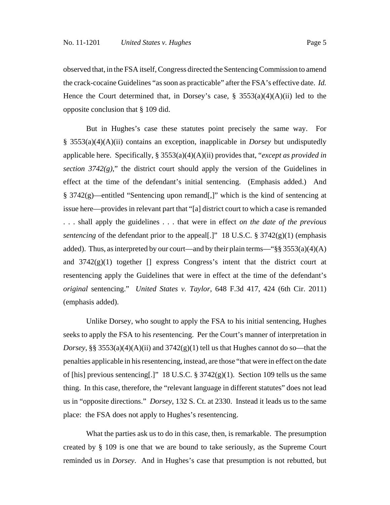observed that, in the FSA itself, Congress directed the Sentencing Commission to amend the crack-cocaine Guidelines "as soon as practicable" after the FSA's effective date. *Id.* Hence the Court determined that, in Dorsey's case,  $\S$  3553(a)(4)(A)(ii) led to the opposite conclusion that § 109 did.

But in Hughes's case these statutes point precisely the same way. For § 3553(a)(4)(A)(ii) contains an exception, inapplicable in *Dorsey* but undisputedly applicable here. Specifically, § 3553(a)(4)(A)(ii) provides that, "*except as provided in section 3742(g)*," the district court should apply the version of the Guidelines in effect at the time of the defendant's initial sentencing. (Emphasis added.) And § 3742(g)—entitled "Sentencing upon remand[,]" which is the kind of sentencing at issue here—provides in relevant part that "[a] district court to which a case is remanded . . . shall apply the guidelines . . . that were in effect *on the date of the previous sentencing* of the defendant prior to the appeal[.]" 18 U.S.C. § 3742(g)(1) (emphasis added). Thus, as interpreted by our court—and by their plain terms—" $\S\S 3553(a)(4)(A)$ and  $3742(g)(1)$  together  $\lceil \rceil$  express Congress's intent that the district court at resentencing apply the Guidelines that were in effect at the time of the defendant's *original* sentencing." *United States v. Taylor*, 648 F.3d 417, 424 (6th Cir. 2011) (emphasis added).

Unlike Dorsey, who sought to apply the FSA to his initial sentencing, Hughes seeks to apply the FSA to his *re*sentencing. Per the Court's manner of interpretation in *Dorsey*, §§ 3553(a)(4)(A)(ii) and  $3742(g)(1)$  tell us that Hughes cannot do so—that the penalties applicable in his resentencing, instead, are those "that were in effect on the date of [his] previous sentencing[.]" 18 U.S.C.  $\S 3742(g)(1)$ . Section 109 tells us the same thing. In this case, therefore, the "relevant language in different statutes" does not lead us in "opposite directions." *Dorsey*, 132 S. Ct. at 2330. Instead it leads us to the same place: the FSA does not apply to Hughes's resentencing.

What the parties ask us to do in this case, then, is remarkable. The presumption created by § 109 is one that we are bound to take seriously, as the Supreme Court reminded us in *Dorsey*. And in Hughes's case that presumption is not rebutted, but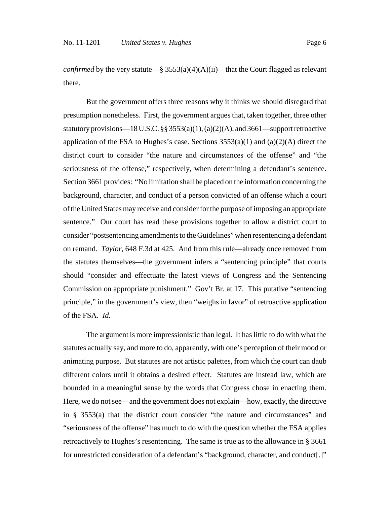*confirmed* by the very statute—§  $3553(a)(4)(A)(ii)$ —that the Court flagged as relevant there.

But the government offers three reasons why it thinks we should disregard that presumption nonetheless. First, the government argues that, taken together, three other statutory provisions—18 U.S.C.  $\S$ § 3553(a)(1), (a)(2)(A), and 3661—support retroactive application of the FSA to Hughes's case. Sections  $3553(a)(1)$  and  $(a)(2)(A)$  direct the district court to consider "the nature and circumstances of the offense" and "the seriousness of the offense," respectively, when determining a defendant's sentence. Section 3661 provides: "No limitation shall be placed on the information concerning the background, character, and conduct of a person convicted of an offense which a court of the United States may receive and consider for the purpose of imposing an appropriate sentence." Our court has read these provisions together to allow a district court to consider "postsentencing amendments to the Guidelines" when resentencing a defendant on remand. *Taylor*, 648 F.3d at 425. And from this rule—already once removed from the statutes themselves—the government infers a "sentencing principle" that courts should "consider and effectuate the latest views of Congress and the Sentencing Commission on appropriate punishment." Gov't Br. at 17. This putative "sentencing principle," in the government's view, then "weighs in favor" of retroactive application of the FSA. *Id.*

The argument is more impressionistic than legal. It has little to do with what the statutes actually say, and more to do, apparently, with one's perception of their mood or animating purpose. But statutes are not artistic palettes, from which the court can daub different colors until it obtains a desired effect. Statutes are instead law, which are bounded in a meaningful sense by the words that Congress chose in enacting them. Here, we do not see—and the government does not explain—how, exactly, the directive in § 3553(a) that the district court consider "the nature and circumstances" and "seriousness of the offense" has much to do with the question whether the FSA applies retroactively to Hughes's resentencing. The same is true as to the allowance in § 3661 for unrestricted consideration of a defendant's "background, character, and conduct[.]"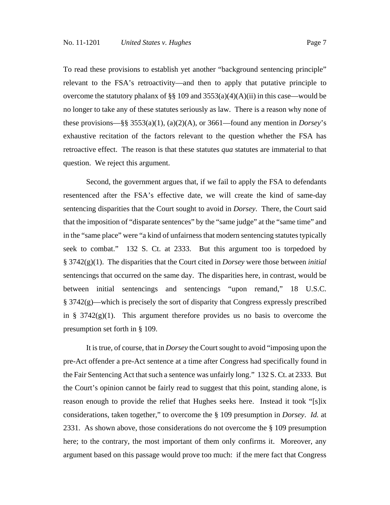To read these provisions to establish yet another "background sentencing principle" relevant to the FSA's retroactivity—and then to apply that putative principle to overcome the statutory phalanx of §§ 109 and  $3553(a)(4)(A)(ii)$  in this case—would be no longer to take any of these statutes seriously as law. There is a reason why none of these provisions—§§ 3553(a)(1), (a)(2)(A), or 3661—found any mention in *Dorsey*'s exhaustive recitation of the factors relevant to the question whether the FSA has retroactive effect. The reason is that these statutes *qua* statutes are immaterial to that question. We reject this argument.

Second, the government argues that, if we fail to apply the FSA to defendants resentenced after the FSA's effective date, we will create the kind of same-day sentencing disparities that the Court sought to avoid in *Dorsey*. There, the Court said that the imposition of "disparate sentences" by the "same judge" at the "same time" and in the "same place" were "a kind of unfairness that modern sentencing statutes typically seek to combat." 132 S. Ct. at 2333. But this argument too is torpedoed by § 3742(g)(1). The disparities that the Court cited in *Dorsey* were those between *initial* sentencings that occurred on the same day. The disparities here, in contrast, would be between initial sentencings and sentencings "upon remand," 18 U.S.C.  $§$  3742(g)—which is precisely the sort of disparity that Congress expressly prescribed in §  $3742(g)(1)$ . This argument therefore provides us no basis to overcome the presumption set forth in § 109.

It is true, of course, that in *Dorsey* the Court sought to avoid "imposing upon the pre-Act offender a pre-Act sentence at a time after Congress had specifically found in the Fair Sentencing Act that such a sentence was unfairly long." 132 S. Ct. at 2333. But the Court's opinion cannot be fairly read to suggest that this point, standing alone, is reason enough to provide the relief that Hughes seeks here. Instead it took "[s]ix considerations, taken together," to overcome the § 109 presumption in *Dorsey*. *Id.* at 2331. As shown above, those considerations do not overcome the § 109 presumption here; to the contrary, the most important of them only confirms it. Moreover, any argument based on this passage would prove too much: if the mere fact that Congress